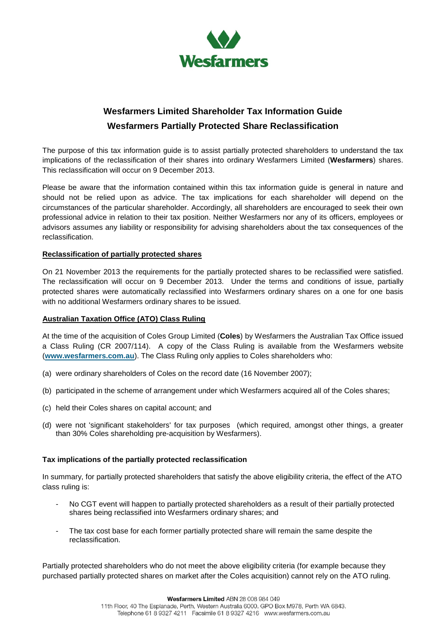

## **Wesfarmers Limited Shareholder Tax Information Guide Wesfarmers Partially Protected Share Reclassification**

The purpose of this tax information guide is to assist partially protected shareholders to understand the tax implications of the reclassification of their shares into ordinary Wesfarmers Limited (**Wesfarmers**) shares. This reclassification will occur on 9 December 2013.

Please be aware that the information contained within this tax information guide is general in nature and should not be relied upon as advice. The tax implications for each shareholder will depend on the circumstances of the particular shareholder. Accordingly, all shareholders are encouraged to seek their own professional advice in relation to their tax position. Neither Wesfarmers nor any of its officers, employees or advisors assumes any liability or responsibility for advising shareholders about the tax consequences of the reclassification.

## **Reclassification of partially protected shares**

On 21 November 2013 the requirements for the partially protected shares to be reclassified were satisfied. The reclassification will occur on 9 December 2013. Under the terms and conditions of issue, partially protected shares were automatically reclassified into Wesfarmers ordinary shares on a one for one basis with no additional Wesfarmers ordinary shares to be issued.

## **Australian Taxation Office (ATO) Class Ruling**

At the time of the acquisition of Coles Group Limited (**Coles**) by Wesfarmers the Australian Tax Office issued a Class Ruling (CR 2007/114). A copy of the Class Ruling is available from the Wesfarmers website (**[www.wesfarmers.com.au](http://www.wesfarmers.com.au/)**). The Class Ruling only applies to Coles shareholders who:

- (a) were ordinary shareholders of Coles on the record date (16 November 2007);
- (b) participated in the scheme of arrangement under which Wesfarmers acquired all of the Coles shares;
- (c) held their Coles shares on capital account; and
- (d) were not 'significant stakeholders' for tax purposes (which required, amongst other things, a greater than 30% Coles shareholding pre-acquisition by Wesfarmers).

## **Tax implications of the partially protected reclassification**

In summary, for partially protected shareholders that satisfy the above eligibility criteria, the effect of the ATO class ruling is:

- No CGT event will happen to partially protected shareholders as a result of their partially protected shares being reclassified into Wesfarmers ordinary shares; and
- The tax cost base for each former partially protected share will remain the same despite the reclassification.

Partially protected shareholders who do not meet the above eligibility criteria (for example because they purchased partially protected shares on market after the Coles acquisition) cannot rely on the ATO ruling.